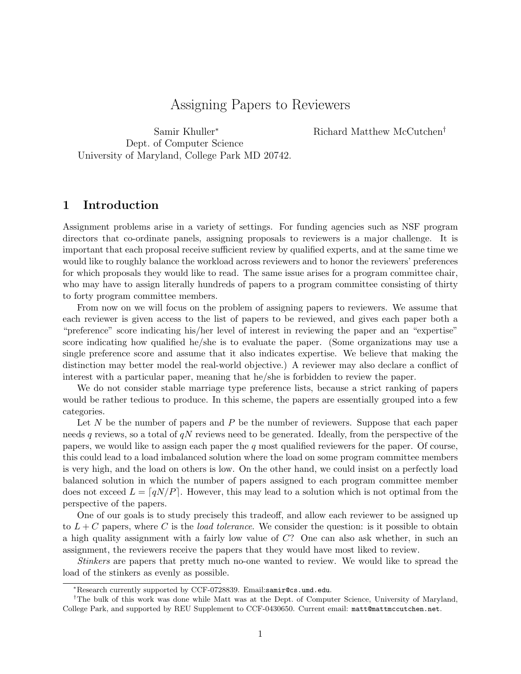# Assigning Papers to Reviewers

Samir Khuller<sup>∗</sup> Dept. of Computer Science University of Maryland, College Park MD 20742. Richard Matthew McCutchen†

#### 1 Introduction

Assignment problems arise in a variety of settings. For funding agencies such as NSF program directors that co-ordinate panels, assigning proposals to reviewers is a major challenge. It is important that each proposal receive sufficient review by qualified experts, and at the same time we would like to roughly balance the workload across reviewers and to honor the reviewers' preferences for which proposals they would like to read. The same issue arises for a program committee chair, who may have to assign literally hundreds of papers to a program committee consisting of thirty to forty program committee members.

From now on we will focus on the problem of assigning papers to reviewers. We assume that each reviewer is given access to the list of papers to be reviewed, and gives each paper both a "preference" score indicating his/her level of interest in reviewing the paper and an "expertise" score indicating how qualified he/she is to evaluate the paper. (Some organizations may use a single preference score and assume that it also indicates expertise. We believe that making the distinction may better model the real-world objective.) A reviewer may also declare a conflict of interest with a particular paper, meaning that he/she is forbidden to review the paper.

We do not consider stable marriage type preference lists, because a strict ranking of papers would be rather tedious to produce. In this scheme, the papers are essentially grouped into a few categories.

Let  $N$  be the number of papers and  $P$  be the number of reviewers. Suppose that each paper needs q reviews, so a total of  $qN$  reviews need to be generated. Ideally, from the perspective of the papers, we would like to assign each paper the  $q$  most qualified reviewers for the paper. Of course, this could lead to a load imbalanced solution where the load on some program committee members is very high, and the load on others is low. On the other hand, we could insist on a perfectly load balanced solution in which the number of papers assigned to each program committee member does not exceed  $L = \lceil qN/P \rceil$ . However, this may lead to a solution which is not optimal from the perspective of the papers.

One of our goals is to study precisely this tradeoff, and allow each reviewer to be assigned up to  $L + C$  papers, where C is the *load tolerance*. We consider the question: is it possible to obtain a high quality assignment with a fairly low value of C? One can also ask whether, in such an assignment, the reviewers receive the papers that they would have most liked to review.

Stinkers are papers that pretty much no-one wanted to review. We would like to spread the load of the stinkers as evenly as possible.

<sup>∗</sup>Research currently supported by CCF-0728839. Email:samir@cs.umd.edu.

<sup>†</sup>The bulk of this work was done while Matt was at the Dept. of Computer Science, University of Maryland, College Park, and supported by REU Supplement to CCF-0430650. Current email: matt@mattmccutchen.net.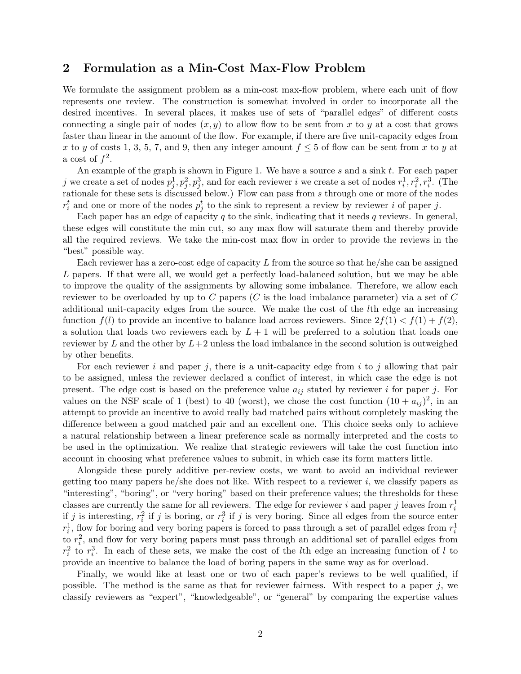#### 2 Formulation as a Min-Cost Max-Flow Problem

We formulate the assignment problem as a min-cost max-flow problem, where each unit of flow represents one review. The construction is somewhat involved in order to incorporate all the desired incentives. In several places, it makes use of sets of "parallel edges" of different costs connecting a single pair of nodes  $(x, y)$  to allow flow to be sent from x to y at a cost that grows faster than linear in the amount of the flow. For example, if there are five unit-capacity edges from x to y of costs 1, 3, 5, 7, and 9, then any integer amount  $f \leq 5$  of flow can be sent from x to y at a cost of  $f^2$ .

An example of the graph is shown in Figure 1. We have a source s and a sink t. For each paper j we create a set of nodes  $p_j^1, p_j^2, p_j^3$ , and for each reviewer i we create a set of nodes  $r_i^1, r_i^2, r_i^3$ . (The rationale for these sets is discussed below.) Flow can pass from s through one or more of the nodes  $r_i^t$  and one or more of the nodes  $p_j^t$  to the sink to represent a review by reviewer i of paper j.

Each paper has an edge of capacity  $q$  to the sink, indicating that it needs  $q$  reviews. In general, these edges will constitute the min cut, so any max flow will saturate them and thereby provide all the required reviews. We take the min-cost max flow in order to provide the reviews in the "best" possible way.

Each reviewer has a zero-cost edge of capacity  $L$  from the source so that he/she can be assigned L papers. If that were all, we would get a perfectly load-balanced solution, but we may be able to improve the quality of the assignments by allowing some imbalance. Therefore, we allow each reviewer to be overloaded by up to C papers (C is the load imbalance parameter) via a set of C additional unit-capacity edges from the source. We make the cost of the lth edge an increasing function  $f(l)$  to provide an incentive to balance load across reviewers. Since  $2f(1) < f(1) + f(2)$ , a solution that loads two reviewers each by  $L + 1$  will be preferred to a solution that loads one reviewer by  $L$  and the other by  $L+2$  unless the load imbalance in the second solution is outweighed by other benefits.

For each reviewer i and paper j, there is a unit-capacity edge from i to j allowing that pair to be assigned, unless the reviewer declared a conflict of interest, in which case the edge is not present. The edge cost is based on the preference value  $a_{ij}$  stated by reviewer i for paper j. For values on the NSF scale of 1 (best) to 40 (worst), we chose the cost function  $(10 + a_{ij})^2$ , in an attempt to provide an incentive to avoid really bad matched pairs without completely masking the difference between a good matched pair and an excellent one. This choice seeks only to achieve a natural relationship between a linear preference scale as normally interpreted and the costs to be used in the optimization. We realize that strategic reviewers will take the cost function into account in choosing what preference values to submit, in which case its form matters little.

Alongside these purely additive per-review costs, we want to avoid an individual reviewer getting too many papers he/she does not like. With respect to a reviewer  $i$ , we classify papers as "interesting", "boring", or "very boring" based on their preference values; the thresholds for these classes are currently the same for all reviewers. The edge for reviewer i and paper j leaves from  $r_i^1$ if j is interesting,  $r_i^2$  if j is boring, or  $r_i^3$  if j is very boring. Since all edges from the source enter  $r_i^1$ , flow for boring and very boring papers is forced to pass through a set of parallel edges from  $r_i^1$ to  $r_i^2$ , and flow for very boring papers must pass through an additional set of parallel edges from  $r_i^2$  to  $r_i^3$ . In each of these sets, we make the cost of the *l*th edge an increasing function of *l* to provide an incentive to balance the load of boring papers in the same way as for overload.

Finally, we would like at least one or two of each paper's reviews to be well qualified, if possible. The method is the same as that for reviewer fairness. With respect to a paper j, we classify reviewers as "expert", "knowledgeable", or "general" by comparing the expertise values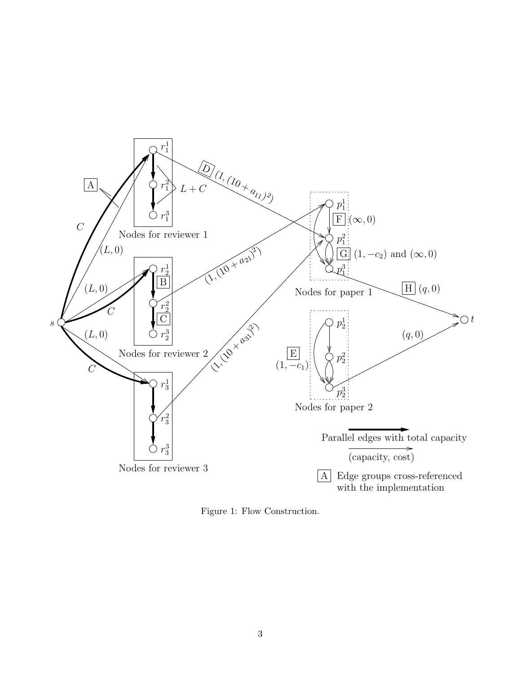

Figure 1: Flow Construction.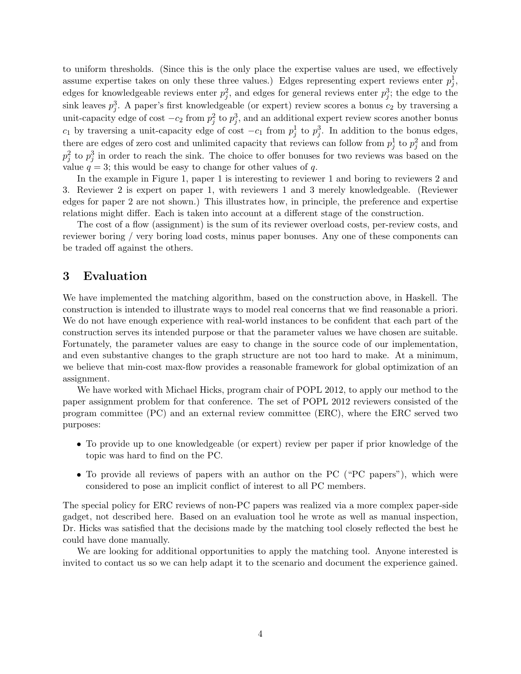to uniform thresholds. (Since this is the only place the expertise values are used, we effectively assume expertise takes on only these three values.) Edges representing expert reviews enter  $p_j^1$ , edges for knowledgeable reviews enter  $p_j^2$ , and edges for general reviews enter  $p_j^3$ ; the edge to the sink leaves  $p_j^3$ . A paper's first knowledgeable (or expert) review scores a bonus  $c_2$  by traversing a unit-capacity edge of cost  $-c_2$  from  $p_j^2$  to  $p_j^3$ , and an additional expert review scores another bonus  $c_1$  by traversing a unit-capacity edge of cost  $-c_1$  from  $p_j^1$  to  $p_j^3$ . In addition to the bonus edges, there are edges of zero cost and unlimited capacity that reviews can follow from  $p_j^1$  to  $p_j^2$  and from  $p_j^2$  to  $p_j^3$  in order to reach the sink. The choice to offer bonuses for two reviews was based on the value  $q = 3$ ; this would be easy to change for other values of q.

In the example in Figure 1, paper 1 is interesting to reviewer 1 and boring to reviewers 2 and 3. Reviewer 2 is expert on paper 1, with reviewers 1 and 3 merely knowledgeable. (Reviewer edges for paper 2 are not shown.) This illustrates how, in principle, the preference and expertise relations might differ. Each is taken into account at a different stage of the construction.

The cost of a flow (assignment) is the sum of its reviewer overload costs, per-review costs, and reviewer boring / very boring load costs, minus paper bonuses. Any one of these components can be traded off against the others.

#### 3 Evaluation

We have implemented the matching algorithm, based on the construction above, in Haskell. The construction is intended to illustrate ways to model real concerns that we find reasonable a priori. We do not have enough experience with real-world instances to be confident that each part of the construction serves its intended purpose or that the parameter values we have chosen are suitable. Fortunately, the parameter values are easy to change in the source code of our implementation, and even substantive changes to the graph structure are not too hard to make. At a minimum, we believe that min-cost max-flow provides a reasonable framework for global optimization of an assignment.

We have worked with Michael Hicks, program chair of POPL 2012, to apply our method to the paper assignment problem for that conference. The set of POPL 2012 reviewers consisted of the program committee (PC) and an external review committee (ERC), where the ERC served two purposes:

- To provide up to one knowledgeable (or expert) review per paper if prior knowledge of the topic was hard to find on the PC.
- To provide all reviews of papers with an author on the PC ("PC papers"), which were considered to pose an implicit conflict of interest to all PC members.

The special policy for ERC reviews of non-PC papers was realized via a more complex paper-side gadget, not described here. Based on an evaluation tool he wrote as well as manual inspection, Dr. Hicks was satisfied that the decisions made by the matching tool closely reflected the best he could have done manually.

We are looking for additional opportunities to apply the matching tool. Anyone interested is invited to contact us so we can help adapt it to the scenario and document the experience gained.